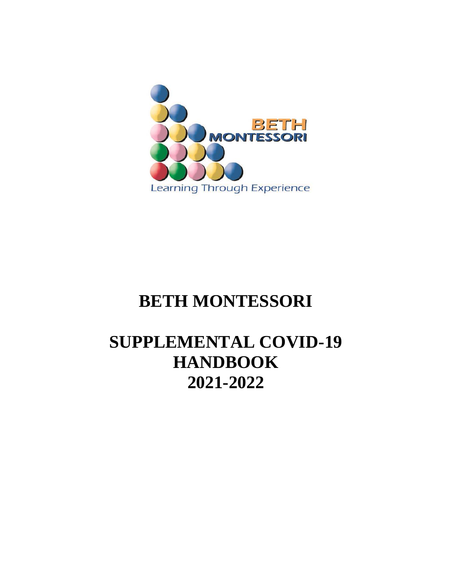

# **BETH MONTESSORI**

# **SUPPLEMENTAL COVID-19 HANDBOOK 2021-2022**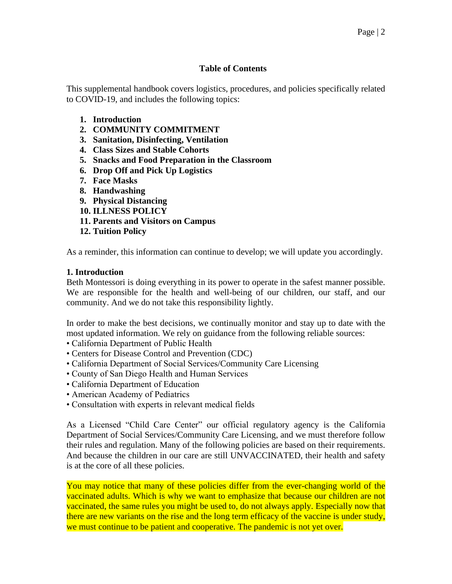# **Table of Contents**

This supplemental handbook covers logistics, procedures, and policies specifically related to COVID-19, and includes the following topics:

- **1. Introduction**
- **2. COMMUNITY COMMITMENT**
- **3. Sanitation, Disinfecting, Ventilation**
- **4. Class Sizes and Stable Cohorts**
- **5. Snacks and Food Preparation in the Classroom**
- **6. Drop Off and Pick Up Logistics**
- **7. Face Masks**
- **8. Handwashing**
- **9. Physical Distancing**
- **10. ILLNESS POLICY**
- **11. Parents and Visitors on Campus**
- **12. Tuition Policy**

As a reminder, this information can continue to develop; we will update you accordingly.

#### **1. Introduction**

Beth Montessori is doing everything in its power to operate in the safest manner possible. We are responsible for the health and well-being of our children, our staff, and our community. And we do not take this responsibility lightly.

In order to make the best decisions, we continually monitor and stay up to date with the most updated information. We rely on guidance from the following reliable sources:

- California Department of Public Health
- Centers for Disease Control and Prevention (CDC)
- California Department of Social Services/Community Care Licensing
- County of San Diego Health and Human Services
- California Department of Education
- American Academy of Pediatrics
- Consultation with experts in relevant medical fields

As a Licensed "Child Care Center" our official regulatory agency is the California Department of Social Services/Community Care Licensing, and we must therefore follow their rules and regulation. Many of the following policies are based on their requirements. And because the children in our care are still UNVACCINATED, their health and safety is at the core of all these policies.

You may notice that many of these policies differ from the ever-changing world of the vaccinated adults. Which is why we want to emphasize that because our children are not vaccinated, the same rules you might be used to, do not always apply. Especially now that there are new variants on the rise and the long term efficacy of the vaccine is under study, we must continue to be patient and cooperative. The pandemic is not yet over.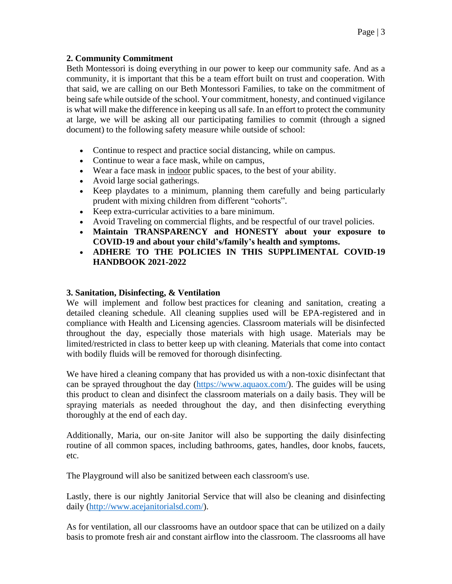# **2. Community Commitment**

Beth Montessori is doing everything in our power to keep our community safe. And as a community, it is important that this be a team effort built on trust and cooperation. With that said, we are calling on our Beth Montessori Families, to take on the commitment of being safe while outside of the school. Your commitment, honesty, and continued vigilance is what will make the difference in keeping us all safe. In an effort to protect the community at large, we will be asking all our participating families to commit (through a signed document) to the following safety measure while outside of school:

- Continue to respect and practice social distancing, while on campus.
- Continue to wear a face mask, while on campus,
- Wear a face mask in indoor public spaces, to the best of your ability.
- Avoid large social gatherings.
- Keep playdates to a minimum, planning them carefully and being particularly prudent with mixing children from different "cohorts".
- Keep extra-curricular activities to a bare minimum.
- Avoid Traveling on commercial flights, and be respectful of our travel policies.
- **Maintain TRANSPARENCY and HONESTY about your exposure to COVID-19 and about your child's/family's health and symptoms.**
- **ADHERE TO THE POLICIES IN THIS SUPPLIMENTAL COVID-19 HANDBOOK 2021-2022**

# **3. Sanitation, Disinfecting, & Ventilation**

We will implement and follow best practices for cleaning and sanitation, creating a detailed cleaning schedule. All cleaning supplies used will be EPA-registered and in compliance with Health and Licensing agencies. Classroom materials will be disinfected throughout the day, especially those materials with high usage. Materials may be limited/restricted in class to better keep up with cleaning. Materials that come into contact with bodily fluids will be removed for thorough disinfecting.

We have hired a cleaning company that has provided us with a non-toxic disinfectant that can be sprayed throughout the day [\(https://www.aquaox.com/\)](https://www.aquaox.com/). The guides will be using this product to clean and disinfect the classroom materials on a daily basis. They will be spraying materials as needed throughout the day, and then disinfecting everything thoroughly at the end of each day.

Additionally, Maria, our on-site Janitor will also be supporting the daily disinfecting routine of all common spaces, including bathrooms, gates, handles, door knobs, faucets, etc.

The Playground will also be sanitized between each classroom's use.

Lastly, there is our nightly Janitorial Service that will also be cleaning and disinfecting daily [\(http://www.acejanitorialsd.com/\)](http://www.acejanitorialsd.com/).

As for ventilation, all our classrooms have an outdoor space that can be utilized on a daily basis to promote fresh air and constant airflow into the classroom. The classrooms all have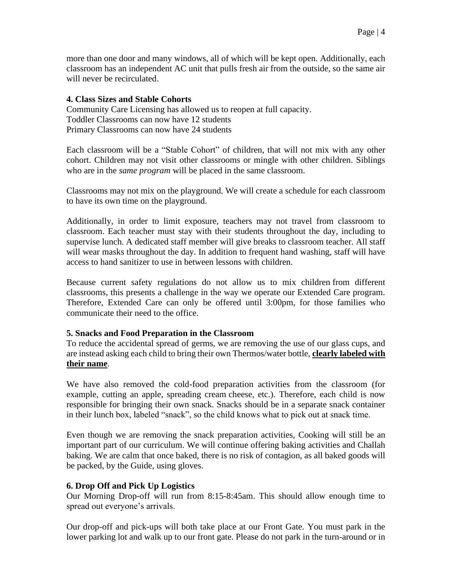more than one door and many windows, all of which will be kept open. Additionally, each classroom has an independent AC unit that pulls fresh air from the outside, so the same air will never be recirculated.

### **4. Class Sizes and Stable Cohorts**

Community Care Licensing has allowed us to reopen at full capacity. Toddler Classrooms can now have 12 students Primary Classrooms can now have 24 students

Each classroom will be a "Stable Cohort" of children, that will not mix with any other cohort. Children may not visit other classrooms or mingle with other children. Siblings who are in the *same program* will be placed in the same classroom.

Classrooms may not mix on the playground. We will create a schedule for each classroom to have its own time on the playground.

Additionally, in order to limit exposure, teachers may not travel from classroom to classroom. Each teacher must stay with their students throughout the day, including to supervise lunch. A dedicated staff member will give breaks to classroom teacher. All staff will wear masks throughout the day. In addition to frequent hand washing, staff will have access to hand sanitizer to use in between lessons with children.

Because current safety regulations do not allow us to mix children from different classrooms, this presents a challenge in the way we operate our Extended Care program. Therefore, Extended Care can only be offered until 3:00pm, for those families who communicate their need to the office.

#### **5. Snacks and Food Preparation in the Classroom**

To reduce the accidental spread of germs, we are removing the use of our glass cups, and are instead asking each child to bring their own Thermos/water bottle, **clearly labeled with their name**.

We have also removed the cold-food preparation activities from the classroom (for example, cutting an apple, spreading cream cheese, etc.). Therefore, each child is now responsible for bringing their own snack. Snacks should be in a separate snack container in their lunch box, labeled "snack", so the child knows what to pick out at snack time.

Even though we are removing the snack preparation activities, Cooking will still be an important part of our curriculum. We will continue offering baking activities and Challah baking. We are calm that once baked, there is no risk of contagion, as all baked goods will be packed, by the Guide, using gloves.

#### **6. Drop Off and Pick Up Logistics**

Our Morning Drop-off will run from 8:15-8:45am. This should allow enough time to spread out everyone's arrivals.

Our drop-off and pick-ups will both take place at our Front Gate. You must park in the lower parking lot and walk up to our front gate. Please do not park in the turn-around or in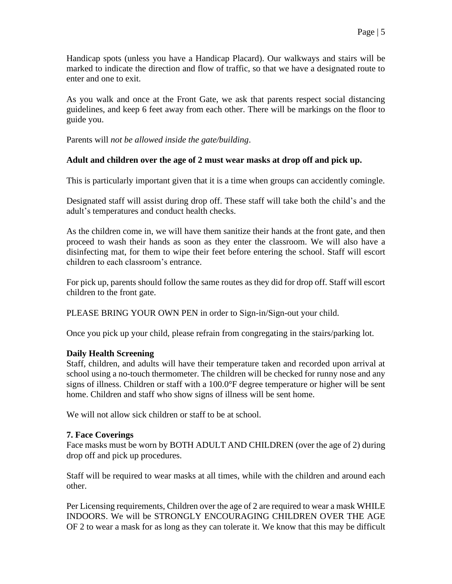Handicap spots (unless you have a Handicap Placard). Our walkways and stairs will be marked to indicate the direction and flow of traffic, so that we have a designated route to enter and one to exit.

As you walk and once at the Front Gate, we ask that parents respect social distancing guidelines, and keep 6 feet away from each other. There will be markings on the floor to guide you.

Parents will *not be allowed inside the gate/building*.

# **Adult and children over the age of 2 must wear masks at drop off and pick up.**

This is particularly important given that it is a time when groups can accidently comingle.

Designated staff will assist during drop off. These staff will take both the child's and the adult's temperatures and conduct health checks.

As the children come in, we will have them sanitize their hands at the front gate, and then proceed to wash their hands as soon as they enter the classroom. We will also have a disinfecting mat, for them to wipe their feet before entering the school. Staff will escort children to each classroom's entrance.

For pick up, parents should follow the same routes as they did for drop off. Staff will escort children to the front gate.

PLEASE BRING YOUR OWN PEN in order to Sign-in/Sign-out your child.

Once you pick up your child, please refrain from congregating in the stairs/parking lot.

#### **Daily Health Screening**

Staff, children, and adults will have their temperature taken and recorded upon arrival at school using a no-touch thermometer. The children will be checked for runny nose and any signs of illness. Children or staff with a 100.0°F degree temperature or higher will be sent home. Children and staff who show signs of illness will be sent home.

We will not allow sick children or staff to be at school.

#### **7. Face Coverings**

Face masks must be worn by BOTH ADULT AND CHILDREN (over the age of 2) during drop off and pick up procedures.

Staff will be required to wear masks at all times, while with the children and around each other.

Per Licensing requirements, Children over the age of 2 are required to wear a mask WHILE INDOORS. We will be STRONGLY ENCOURAGING CHILDREN OVER THE AGE OF 2 to wear a mask for as long as they can tolerate it. We know that this may be difficult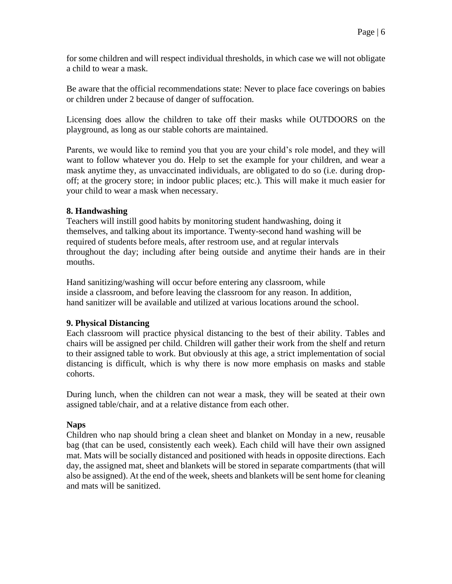for some children and will respect individual thresholds, in which case we will not obligate a child to wear a mask.

Be aware that the official recommendations state: Never to place face coverings on babies or children under 2 because of danger of suffocation.

Licensing does allow the children to take off their masks while OUTDOORS on the playground, as long as our stable cohorts are maintained.

Parents, we would like to remind you that you are your child's role model, and they will want to follow whatever you do. Help to set the example for your children, and wear a mask anytime they, as unvaccinated individuals, are obligated to do so (i.e. during dropoff; at the grocery store; in indoor public places; etc.). This will make it much easier for your child to wear a mask when necessary.

## **8. Handwashing**

Teachers will instill good habits by monitoring student handwashing, doing it themselves, and talking about its importance. Twenty-second hand washing will be required of students before meals, after restroom use, and at regular intervals throughout the day; including after being outside and anytime their hands are in their mouths.

Hand sanitizing/washing will occur before entering any classroom, while inside a classroom, and before leaving the classroom for any reason. In addition, hand sanitizer will be available and utilized at various locations around the school.

# **9. Physical Distancing**

Each classroom will practice physical distancing to the best of their ability. Tables and chairs will be assigned per child. Children will gather their work from the shelf and return to their assigned table to work. But obviously at this age, a strict implementation of social distancing is difficult, which is why there is now more emphasis on masks and stable cohorts.

During lunch, when the children can not wear a mask, they will be seated at their own assigned table/chair, and at a relative distance from each other.

# **Naps**

Children who nap should bring a clean sheet and blanket on Monday in a new, reusable bag (that can be used, consistently each week). Each child will have their own assigned mat. Mats will be socially distanced and positioned with heads in opposite directions. Each day, the assigned mat, sheet and blankets will be stored in separate compartments (that will also be assigned). At the end of the week, sheets and blankets will be sent home for cleaning and mats will be sanitized.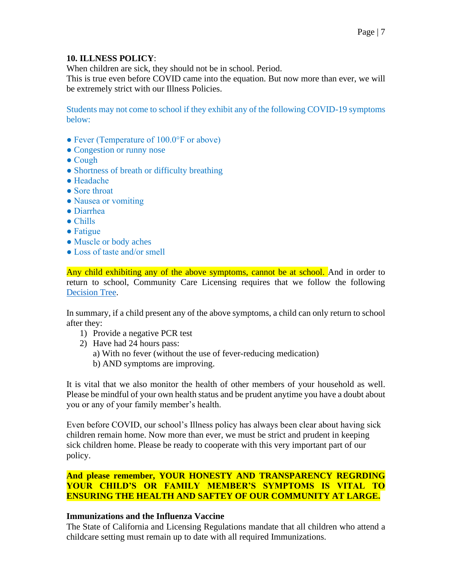## **10. ILLNESS POLICY**:

When children are sick, they should not be in school. Period.

This is true even before COVID came into the equation. But now more than ever, we will be extremely strict with our Illness Policies.

Students may not come to school if they exhibit any of the following COVID-19 symptoms below:

- Fever (Temperature of 100.0°F or above)
- Congestion or runny nose
- Cough
- Shortness of breath or difficulty breathing
- Headache
- Sore throat
- Nausea or vomiting
- Diarrhea
- Chills
- Fatigue
- Muscle or body aches
- Loss of taste and/or smell

Any child exhibiting any of the above symptoms, cannot be at school. And in order to return to school, Community Care Licensing requires that we follow the following [Decision](https://www.sandiegocounty.gov/content/dam/sdc/hhsa/programs/phs/Epidemiology/covid19/Community_Sector_Support/ChildCareServices/Childcare%20COVID%20Decision%20Tree.pdf) Tree.

In summary, if a child present any of the above symptoms, a child can only return to school after they:

- 1) Provide a negative PCR test
- 2) Have had 24 hours pass:
	- a) With no fever (without the use of fever-reducing medication)
	- b) AND symptoms are improving.

It is vital that we also monitor the health of other members of your household as well. Please be mindful of your own health status and be prudent anytime you have a doubt about you or any of your family member's health.

Even before COVID, our school's Illness policy has always been clear about having sick children remain home. Now more than ever, we must be strict and prudent in keeping sick children home. Please be ready to cooperate with this very important part of our policy.

## **And please remember, YOUR HONESTY AND TRANSPARENCY REGRDING YOUR CHILD'S OR FAMILY MEMBER'S SYMPTOMS IS VITAL TO ENSURING THE HEALTH AND SAFTEY OF OUR COMMUNITY AT LARGE.**

#### **Immunizations and the Influenza Vaccine**

The State of California and Licensing Regulations mandate that all children who attend a childcare setting must remain up to date with all required Immunizations.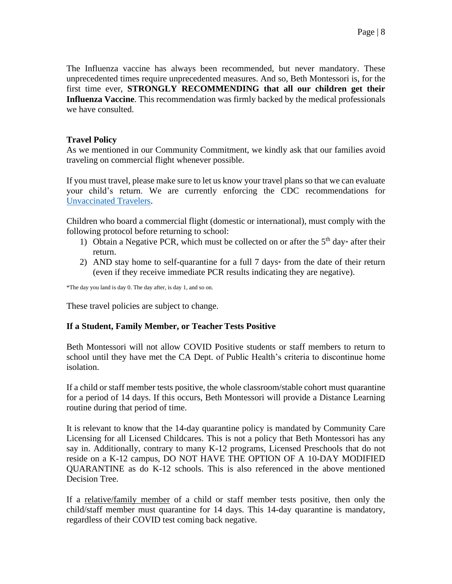The Influenza vaccine has always been recommended, but never mandatory. These unprecedented times require unprecedented measures. And so, Beth Montessori is, for the first time ever, **STRONGLY RECOMMENDING that all our children get their Influenza Vaccine**. This recommendation was firmly backed by the medical professionals we have consulted.

### **Travel Policy**

As we mentioned in our Community Commitment, we kindly ask that our families avoid traveling on commercial flight whenever possible.

If you must travel, please make sure to let us know your travel plans so that we can evaluate your child's return. We are currently enforcing the CDC recommendations for [Unvaccinated Travelers.](https://www.cdc.gov/coronavirus/2019-ncov/travelers/travel-during-covid19.html)

Children who board a commercial flight (domestic or international), must comply with the following protocol before returning to school:

- 1) Obtain a Negative PCR, which must be collected on or after the  $5<sup>th</sup>$  day\* after their return.
- 2) AND stay home to self-quarantine for a full 7 days\* from the date of their return (even if they receive immediate PCR results indicating they are negative).

\*The day you land is day 0. The day after, is day 1, and so on.

These travel policies are subject to change.

#### **If a Student, Family Member, or Teacher Tests Positive**

Beth Montessori will not allow COVID Positive students or staff members to return to school until they have met the CA Dept. of Public Health's criteria to discontinue home isolation.

If a child or staff member tests positive, the whole classroom/stable cohort must quarantine for a period of 14 days. If this occurs, Beth Montessori will provide a Distance Learning routine during that period of time.

It is relevant to know that the 14-day quarantine policy is mandated by Community Care Licensing for all Licensed Childcares. This is not a policy that Beth Montessori has any say in. Additionally, contrary to many K-12 programs, Licensed Preschools that do not reside on a K-12 campus, DO NOT HAVE THE OPTION OF A 10-DAY MODIFIED QUARANTINE as do K-12 schools. This is also referenced in the above mentioned Decision Tree.

If a relative/family member of a child or staff member tests positive, then only the child/staff member must quarantine for 14 days. This 14-day quarantine is mandatory, regardless of their COVID test coming back negative.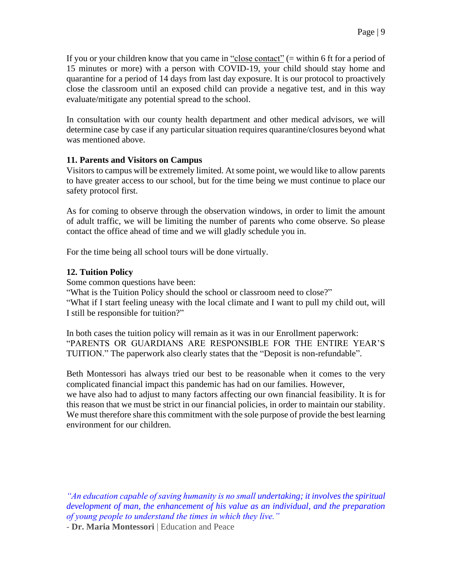If you or your children know that you came in "close contact" (= within 6 ft for a period of 15 minutes or more) with a person with COVID-19, your child should stay home and quarantine for a period of 14 days from last day exposure. It is our protocol to proactively close the classroom until an exposed child can provide a negative test, and in this way evaluate/mitigate any potential spread to the school.

In consultation with our county health department and other medical advisors, we will determine case by case if any particular situation requires quarantine/closures beyond what was mentioned above.

## **11. Parents and Visitors on Campus**

Visitors to campus will be extremely limited. At some point, we would like to allow parents to have greater access to our school, but for the time being we must continue to place our safety protocol first.

As for coming to observe through the observation windows, in order to limit the amount of adult traffic, we will be limiting the number of parents who come observe. So please contact the office ahead of time and we will gladly schedule you in.

For the time being all school tours will be done virtually.

## **12. Tuition Policy**

Some common questions have been:

"What is the Tuition Policy should the school or classroom need to close?"

"What if I start feeling uneasy with the local climate and I want to pull my child out, will I still be responsible for tuition?"

In both cases the tuition policy will remain as it was in our Enrollment paperwork: "PARENTS OR GUARDIANS ARE RESPONSIBLE FOR THE ENTIRE YEAR'S TUITION." The paperwork also clearly states that the "Deposit is non-refundable".

Beth Montessori has always tried our best to be reasonable when it comes to the very complicated financial impact this pandemic has had on our families. However, we have also had to adjust to many factors affecting our own financial feasibility. It is for this reason that we must be strict in our financial policies, in order to maintain our stability. We must therefore share this commitment with the sole purpose of provide the best learning environment for our children.

*"An education capable of saving humanity is no small undertaking; it involves the spiritual development of man, the enhancement of his value as an individual, and the preparation of young people to understand the times in which they live."*

- **Dr. Maria Montessori** | Education and Peace